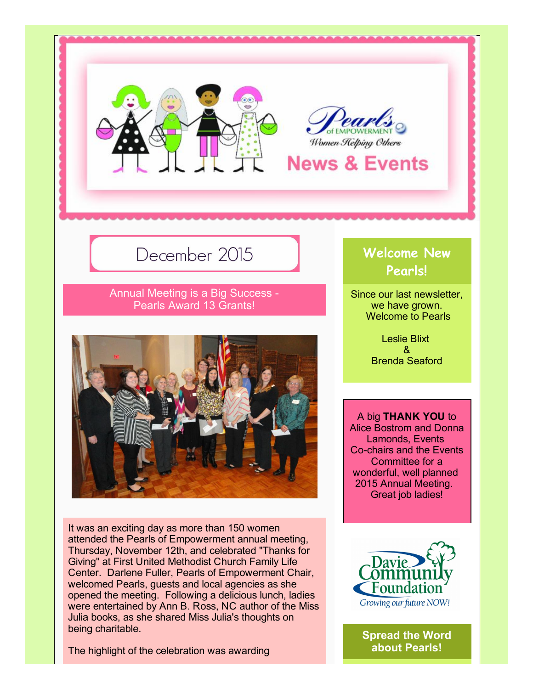



# December 2015

Annual Meeting is a Big Success Pearls Award 13 Grants!



It was an exciting day as more than 150 women attended the Pearls of Empowerment annual meeting, Thursday, November 12th, and celebrated "Thanks for Giving" at First United Methodist Church Family Life Center. Darlene Fuller, Pearls of Empowerment Chair, welcomed Pearls, guests and local agencies as she opened the meeting. Following a delicious lunch, ladies were entertained by Ann B. Ross, NC author of the Miss Julia books, as she shared Miss Julia's thoughts on being charitable.

The highlight of the celebration was awarding

# Welcome New Pearls!

Since our last newsletter, we have grown. Welcome to Pearls

> Leslie Blixt & Brenda Seaford

A big THANK YOU to Alice Bostrom and Donna Lamonds, Events Co-chairs and the Events Committee for a wonderful, well planned 2015 Annual Meeting. Great job ladies!



Spread the Word about Pearls!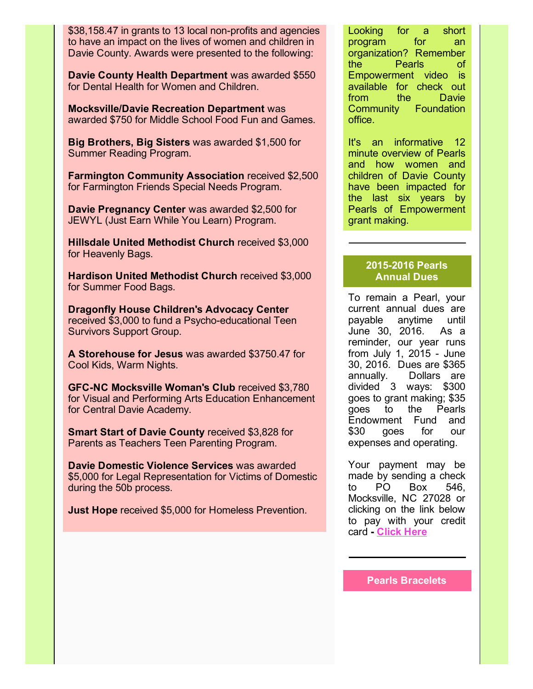\$38,158.47 in grants to 13 local non-profits and agencies to have an impact on the lives of women and children in Davie County. Awards were presented to the following:

Davie County Health Department was awarded \$550 for Dental Health for Women and Children.

Mocksville/Davie Recreation Department was awarded \$750 for Middle School Food Fun and Games.

Big Brothers, Big Sisters was awarded \$1,500 for Summer Reading Program.

Farmington Community Association received \$2,500 for Farmington Friends Special Needs Program.

Davie Pregnancy Center was awarded \$2,500 for JEWYL (Just Earn While You Learn) Program.

Hillsdale United Methodist Church received \$3,000 for Heavenly Bags.

Hardison United Methodist Church received \$3,000 for Summer Food Bags.

Dragonfly House Children's Advocacy Center received \$3,000 to fund a Psycho-educational Teen Survivors Support Group.

A Storehouse for Jesus was awarded \$3750.47 for Cool Kids, Warm Nights.

GFC-NC Mocksville Woman's Club received \$3,780 for Visual and Performing Arts Education Enhancement for Central Davie Academy.

Smart Start of Davie County received \$3,828 for Parents as Teachers Teen Parenting Program.

Davie Domestic Violence Services was awarded \$5,000 for Legal Representation for Victims of Domestic during the 50b process.

Just Hope received \$5,000 for Homeless Prevention.

Looking for a short program for an organization? Remember the Pearls of Empowerment video is available for check out from the Davie Community Foundation office.

It's an informative 12 minute overview of Pearls and how women and children of Davie County have been impacted for the last six years by Pearls of Empowerment grant making.

# 2015-2016 Pearls Annual Dues

To remain a Pearl, your current annual dues are payable anytime until June 30, 2016. As a reminder, our year runs from July 1,  $2015 -$  June 30, 2016. Dues are \$365 annually. Dollars are divided 3 ways: \$300 goes to grant making; \$35 goes to the Pearls Endowment Fund and \$30 goes for our expenses and operating.

Your payment may be made by sending a check to PO Box 546, Mocksville, NC 27028 or clicking on the link below to pay with your credit card [Click](https://www.daviefoundation.org/donate/) Here

Pearls Bracelets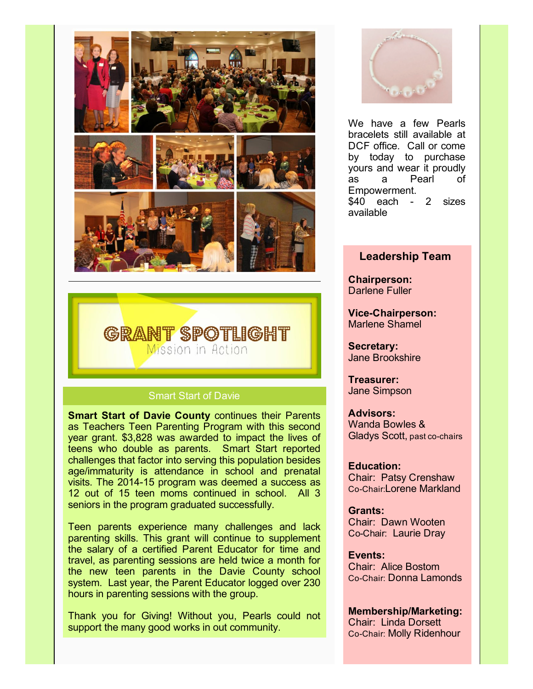



#### Smart Start of Davie

**Smart Start of Davie County continues their Parents** as Teachers Teen Parenting Program with this second year grant. \$3,828 was awarded to impact the lives of teens who double as parents. Smart Start reported challenges that factor into serving this population besides age/immaturity is attendance in school and prenatal visits. The 2014-15 program was deemed a success as 12 out of 15 teen moms continued in school. All 3 seniors in the program graduated successfully.

Teen parents experience many challenges and lack parenting skills. This grant will continue to supplement the salary of a certified Parent Educator for time and travel, as parenting sessions are held twice a month for the new teen parents in the Davie County school system. Last year, the Parent Educator logged over 230 hours in parenting sessions with the group.

Thank you for Giving! Without you, Pearls could not support the many good works in out community.



We have a few Pearls bracelets still available at DCF office. Call or come by today to purchase yours and wear it proudly as a Pearl of Empowerment.  $$40$  each - 2 sizes available

# Leadership Team

Chairperson: Darlene Fuller

Vice-Chairperson: Marlene Shamel

Secretary: Jane Brookshire

Treasurer: Jane Simpson

Advisors: Wanda Bowles & Gladys Scott, past co-chairs

#### Education: Chair: Patsy Crenshaw CoChair:Lorene Markland

Grants: Chair: Dawn Wooten CoChair: Laurie Dray

Events: Chair: Alice Bostom

CoChair: Donna Lamonds

Membership/Marketing: Chair: Linda Dorsett Co-Chair: Molly Ridenhour